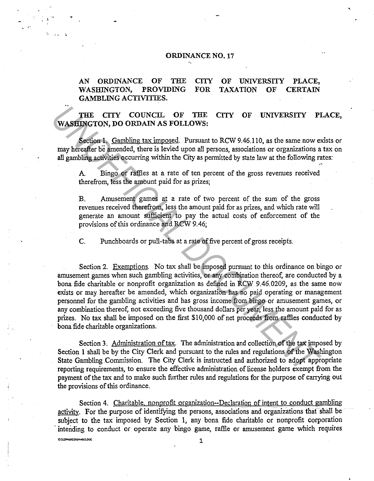## ORDINANCE NO. 17

'

,.

•

**CO ENVIRONME E DOC** 

. . ;..

## AN ORDINANCE OF THE WASHINGTON, PROVIDING GAMBLING ACTIVITIES. **CITY** FOR OF UNIVERSITY PLACE, TAXATION OF CERTAIN

THE CITY COUNCIL OF THE CITY OF UNIVERSITY PLACE, WASHINGTON, DO ORDAIN AS FOLLOWS:

Section 1. Gambling tax imposed. Pursuant to RCW 9.46.110, as the same now exists or may hereafter be amended, there is levied upon all persons, associations or organizations a tax on all gambling activities occurring within the City as permitted by state law at the following rates:

A Bingo or raffles at a rate of ten percent of the gross revenues received therefrom, less the amount paid for as prizes;

B. Amusement games at a rate of two percent of the sum of the gross revenues received therefrom, less the amount paid for as prizes, and which rate will generate an amount sufficient to pay the actual costs of enforcement of the provisions of this ordinance and RCW 9.46;

C. Punchboards or pull-tabs at a rate of five percent of gross receipts.

Section 2. Exemptions. No tax shall be imposed pursuant to this ordinance on bingo or amusement games when such gambling activities, or any combination thereof, are conducted by a bona fide charitable or nonprofit organization as defined in RCW 9.46.0209, as the same now exists or may hereafter be amended, which organization has no paid operating or management personnel for the gambling activities and has gross income from bingo or amusement games, or any combination thereof, not exceeding five thousand dollars per year, less the amount paid for as prizes. No tax shall be imposed on the first \$10,000 of net proceeds from raffies conducted by bona fide charitable organizations. **THE CITY COUNCIL OF THE CITY OF UNIVERSITY PI**<br> **WASHIMCTON, DO ORDAIN AS FOLLOWS:**<br> **WASHIMCTON, DO ORDAIN AS FOLLOWS:**<br> **WASHIMC** Compline tax imposed. Pursuant to RCW 9.46,110, as the same now end<br>
plane hereafter be a

Section 3. Administration of tax. The administration and collection of the tax imposed by Section 1 shall be by the City Clerk and pursuant to the rules and regulations of the Washington State Gambling Commission. The City Clerk is instructed and authorized to adopt appropriate reporting requirements, to ensure the effective administration of license holders exempt from the payment of the tax and to make such further rules and regulations for the purpose of carrying out the provisions of this ordinance.

Section 4. Charitable, nonprofit organization--Declaration of intent to conduct gambling activity. For the purpose of identifying the persons, associations and organizations that shall be subject to the tax imposed by Section 1, any bona fide charitable or nonprofit corporation intending to conduct or operate any bingo game, raffle or amusement game which requires

1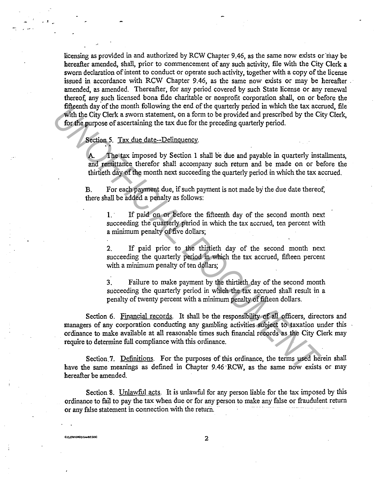licensing as provided in and authorized by RCW Chapter 9.46, as the same now exists or may be hereafter amended, shall, prior to commencement of any such activity, file with the City Clerk a sworn declaration of intent to conduct or operate such activity, together with a copy of the license issued in accordance with RCW Chapter 9.46, as the same now exists or may be hereafter amended, as amended. Thereafter, for any period covered by such State license or any renewal thereof, any such licensed bona fide charitable or nonprofit corporation shall, on or before the fifteenth day of the month following the end of the quarterly period in which the tax accrued, file with the City Clerk a sworn statement, on a form to be provided and prescribed by the City Clerk, for the purpose of ascertaining the tax due for the preceding quarterly period.

 $\cdot$   $\cdot$ 

**CLERKORDSGANBE.DOC** 

Section 5. Tax due date--Delinquency.<br>
A The tax imposed by Section 1 shall be due and payable in quarterly installments, and remittance therefor shall accompany such return and be made on or before the thirtieth day of the month next succeeding the quarterly period in which the tax accrued.

B. For each payment due, if such payment is not made by the due date thereof, there shall be added a penalty as follows:

1. · If paid on or before the fifteenth day of the second month next succeeding the quarterly period in which the tax accrued, ten percent with a minimum penalty of five dollars;

2. If paid prior to the thirtieth day of the second month next succeeding the quarterly period in which the tax accrued, fifteen percent with a minimum penalty of ten dollars;

3. Failure to make payment by the thirtieth day of the second month succeeding the quarterly period in which the tax accrued shall result in a penalty of twenty percent with a minimum penalty of fifteen dollars.

Section 6. Financial records. It shall be the responsibility of all officers, directors and managers of any corporation conducting any gambling activities subject to taxation under this ordinance to make available at all reasonable times such financial records as the City Clerk may require to determine full compliance with this ordinance. The most are montained to the most are the predicterial may of the most and the control of the Control of the SMC and the Control of the Control of the Control of the Control of the Control of the Control of the Control of

Section 7. Definitions. For the purposes of this ordinance, the terms used herein shall have the same meanings as defined in Chapter 9.46 ·RCW, as the same now exists or may hereafter be amended.

Section 8. Unlawful acts. It is unlawful for any person liable for the tax imposed by this ordinance to fail to pay the tax when due or for any person to make any false or fraudulent return or any false statement in connection with the return.

2